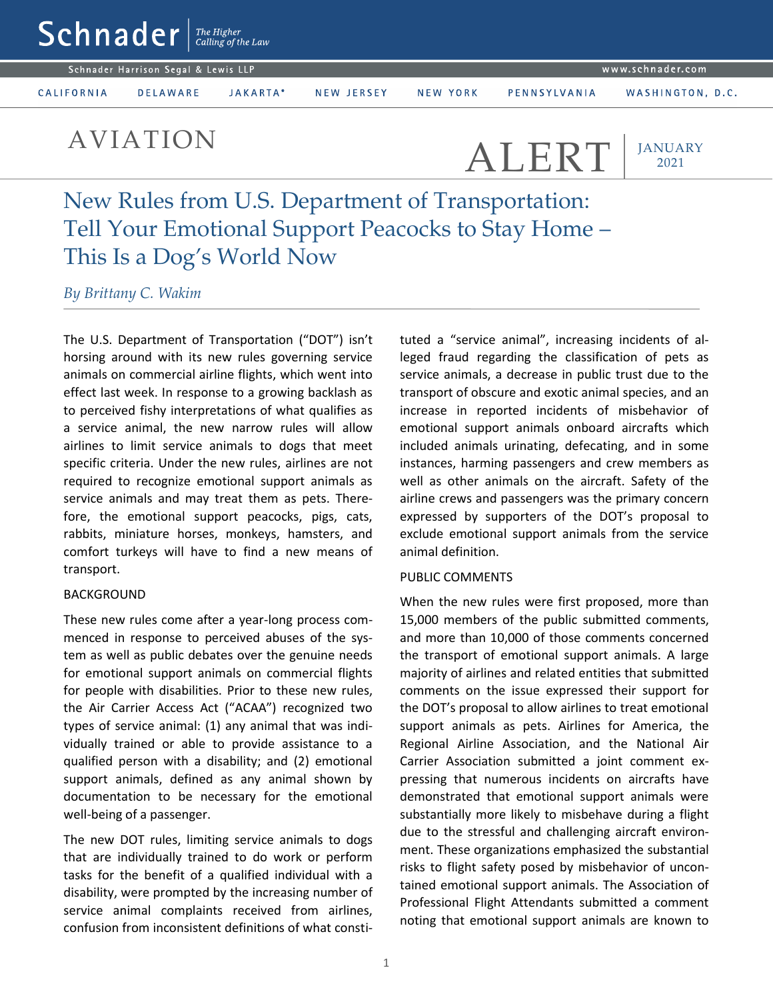AVIATION ALERT

**JANUARY** 2021

New Rules from U.S. Department of Transportation: Tell Your Emotional Support Peacocks to Stay Home – This Is a Dog's World Now

*By Brittany C. Wakim*

The U.S. Department of Transportation ("DOT") isn't horsing around with its new rules governing service animals on commercial airline flights, which went into effect last week. In response to a growing backlash as to perceived fishy interpretations of what qualifies as a service animal, the new narrow rules will allow airlines to limit service animals to dogs that meet specific criteria. Under the new rules, airlines are not required to recognize emotional support animals as service animals and may treat them as pets. Therefore, the emotional support peacocks, pigs, cats, rabbits, miniature horses, monkeys, hamsters, and comfort turkeys will have to find a new means of transport.

## BACKGROUND

These new rules come after a year-long process commenced in response to perceived abuses of the system as well as public debates over the genuine needs for emotional support animals on commercial flights for people with disabilities. Prior to these new rules, the Air Carrier Access Act ("ACAA") recognized two types of service animal: (1) any animal that was individually trained or able to provide assistance to a qualified person with a disability; and (2) emotional support animals, defined as any animal shown by documentation to be necessary for the emotional well-being of a passenger.

The new DOT rules, limiting service animals to dogs that are individually trained to do work or perform tasks for the benefit of a qualified individual with a disability, were prompted by the increasing number of service animal complaints received from airlines, confusion from inconsistent definitions of what constituted a "service animal", increasing incidents of alleged fraud regarding the classification of pets as service animals, a decrease in public trust due to the transport of obscure and exotic animal species, and an increase in reported incidents of misbehavior of emotional support animals onboard aircrafts which included animals urinating, defecating, and in some instances, harming passengers and crew members as well as other animals on the aircraft. Safety of the airline crews and passengers was the primary concern expressed by supporters of the DOT's proposal to exclude emotional support animals from the service animal definition.

## PUBLIC COMMENTS

When the new rules were first proposed, more than 15,000 members of the public submitted comments, and more than 10,000 of those comments concerned the transport of emotional support animals. A large majority of airlines and related entities that submitted comments on the issue expressed their support for the DOT's proposal to allow airlines to treat emotional support animals as pets. Airlines for America, the Regional Airline Association, and the National Air Carrier Association submitted a joint comment expressing that numerous incidents on aircrafts have demonstrated that emotional support animals were substantially more likely to misbehave during a flight due to the stressful and challenging aircraft environment. These organizations emphasized the substantial risks to flight safety posed by misbehavior of uncontained emotional support animals. The Association of Professional Flight Attendants submitted a comment noting that emotional support animals are known to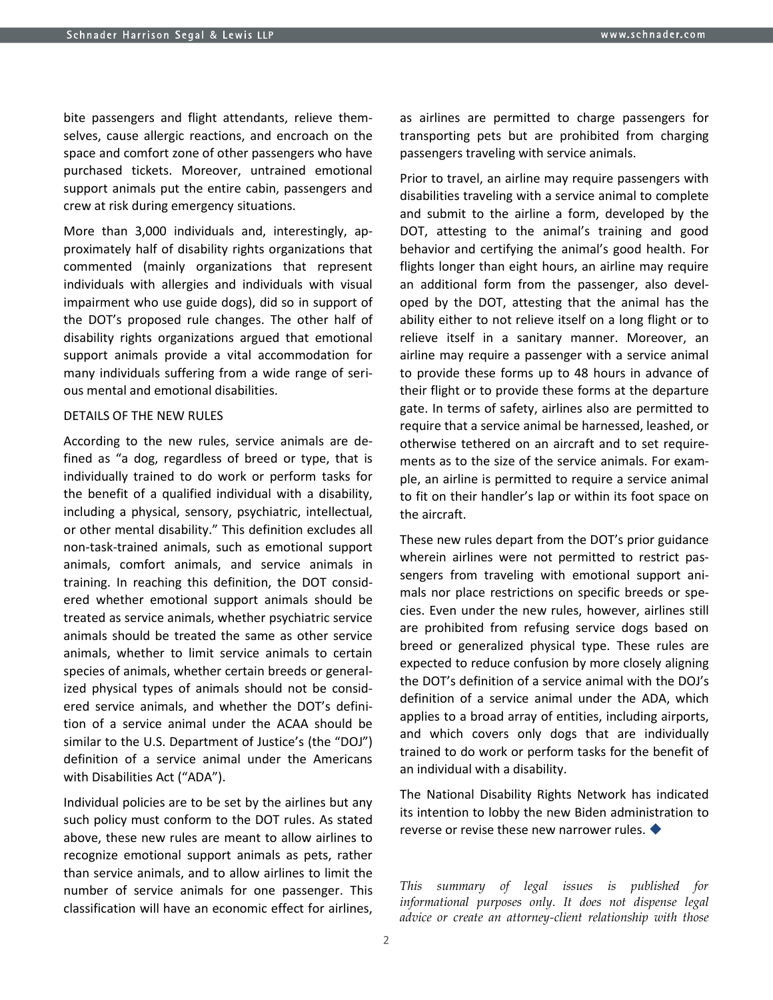bite passengers and flight attendants, relieve themselves, cause allergic reactions, and encroach on the space and comfort zone of other passengers who have purchased tickets. Moreover, untrained emotional support animals put the entire cabin, passengers and crew at risk during emergency situations.

More than 3,000 individuals and, interestingly, approximately half of disability rights organizations that commented (mainly organizations that represent individuals with allergies and individuals with visual impairment who use guide dogs), did so in support of the DOT's proposed rule changes. The other half of disability rights organizations argued that emotional support animals provide a vital accommodation for many individuals suffering from a wide range of serious mental and emotional disabilities.

## DETAILS OF THE NEW RULES

According to the new rules, service animals are defined as "a dog, regardless of breed or type, that is individually trained to do work or perform tasks for the benefit of a qualified individual with a disability, including a physical, sensory, psychiatric, intellectual, or other mental disability." This definition excludes all non-task-trained animals, such as emotional support animals, comfort animals, and service animals in training. In reaching this definition, the DOT considered whether emotional support animals should be treated as service animals, whether psychiatric service animals should be treated the same as other service animals, whether to limit service animals to certain species of animals, whether certain breeds or generalized physical types of animals should not be considered service animals, and whether the DOT's definition of a service animal under the ACAA should be similar to the U.S. Department of Justice's (the "DOJ") definition of a service animal under the Americans with Disabilities Act ("ADA").

Individual policies are to be set by the airlines but any such policy must conform to the DOT rules. As stated above, these new rules are meant to allow airlines to recognize emotional support animals as pets, rather than service animals, and to allow airlines to limit the number of service animals for one passenger. This classification will have an economic effect for airlines, as airlines are permitted to charge passengers for transporting pets but are prohibited from charging passengers traveling with service animals.

Prior to travel, an airline may require passengers with disabilities traveling with a service animal to complete and submit to the airline a form, developed by the DOT, attesting to the animal's training and good behavior and certifying the animal's good health. For flights longer than eight hours, an airline may require an additional form from the passenger, also developed by the DOT, attesting that the animal has the ability either to not relieve itself on a long flight or to relieve itself in a sanitary manner. Moreover, an airline may require a passenger with a service animal to provide these forms up to 48 hours in advance of their flight or to provide these forms at the departure gate. In terms of safety, airlines also are permitted to require that a service animal be harnessed, leashed, or otherwise tethered on an aircraft and to set requirements as to the size of the service animals. For example, an airline is permitted to require a service animal to fit on their handler's lap or within its foot space on the aircraft.

These new rules depart from the DOT's prior guidance wherein airlines were not permitted to restrict passengers from traveling with emotional support animals nor place restrictions on specific breeds or species. Even under the new rules, however, airlines still are prohibited from refusing service dogs based on breed or generalized physical type. These rules are expected to reduce confusion by more closely aligning the DOT's definition of a service animal with the DOJ's definition of a service animal under the ADA, which applies to a broad array of entities, including airports, and which covers only dogs that are individually trained to do work or perform tasks for the benefit of an individual with a disability.

The National Disability Rights Network has indicated its intention to lobby the new Biden administration to reverse or revise these new narrower rules.

*This summary of legal issues is published for informational purposes only. It does not dispense legal advice or create an attorney-client relationship with those*